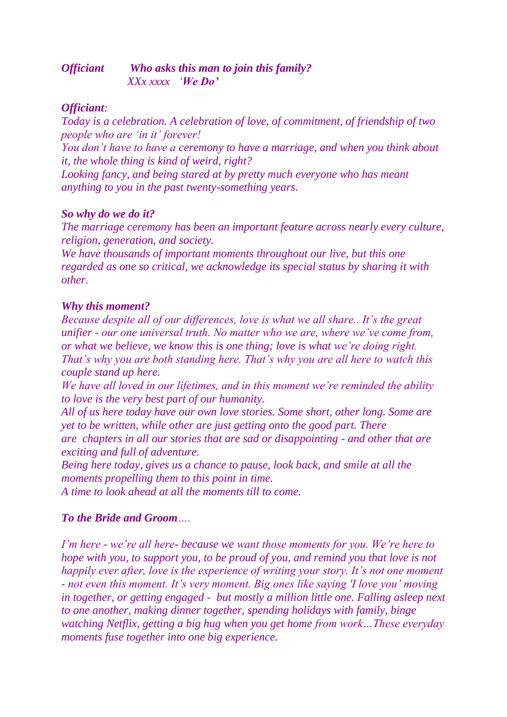#### *Officiant Who asks this man to join this family? XXx xxxx 'We Do'*

#### *Officiant:*

*Today is a celebration. A celebration of love, of commitment, of friendship of two people who are 'in it' forever!*

*You don't have to have a ceremony to have a marriage, and when you think about it, the whole thing is kind of weird, right?*

*Looking fancy, and being stared at by pretty much everyone who has meant anything to you in the past twenty-something years.*

#### *So why do we do it?*

*The marriage ceremony has been an important feature across nearly every culture, religion, generation, and society.*

*We have thousands of important moments throughout our live, but this one regarded as one so critical, we acknowledge its special status by sharing it with other.*

## *Why this moment?*

*Because despite all of our differences, love is what we all share.. It's the great unifier - our one universal truth. No matter who we are, where we've come from, or what we believe, we know this is one thing; love is what we're doing right. That's why you are both standing here. That's why you are all here to watch this couple stand up here.*

*We have all loved in our lifetimes, and in this moment we're reminded the ability to love is the very best part of our humanity.*

*All of us here today have our own love stories. Some short, other long. Some are yet to be written, while other are just getting onto the good part. There are chapters in all our stories that are sad or disappointing - and other that are exciting and full of adventure.*

*Being here today, gives us a chance to pause, look back, and smile at all the moments propelling them to this point in time.*

*A time to look ahead at all the moments till to come.*

# *To the Bride and Groom….*

*I'm here - we're all here- because we want those moments for you. We're here to hope with you, to support you, to be proud of you, and remind you that love is not happily ever after, love is the experience of writing your story. It's not one moment - not even this moment. It's very moment. Big ones like saying 'I love you' moving in together, or getting engaged - but mostly a million little one. Falling asleep next to one another, making dinner together, spending holidays with family, binge watching Netflix, getting a big hug when you get home from work…These everyday moments fuse together into one big experience.*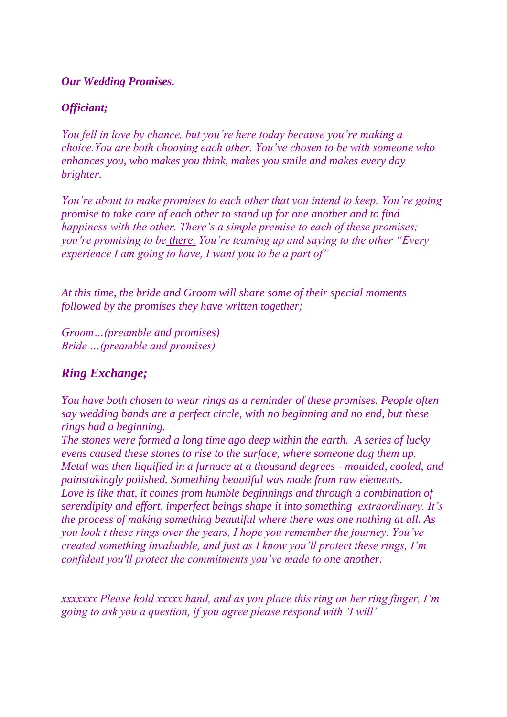#### *Our Wedding Promises.*

## *Officiant;*

*You fell in love by chance, but you're here today because you're making a choice.You are both choosing each other. You've chosen to be with someone who enhances you, who makes you think, makes you smile and makes every day brighter.*

*You're about to make promises to each other that you intend to keep. You're going promise to take care of each other to stand up for one another and to find happiness with the other. There's a simple premise to each of these promises; you're promising to be there. You're teaming up and saying to the other "Every experience I am going to have, I want you to be a part of"*

*At this time, the bride and Groom will share some of their special moments followed by the promises they have written together;*

*Groom…(preamble and promises) Bride …(preamble and promises)*

# *Ring Exchange;*

*You have both chosen to wear rings as a reminder of these promises. People often say wedding bands are a perfect circle, with no beginning and no end, but these rings had a beginning.*

*The stones were formed a long time ago deep within the earth. A series of lucky evens caused these stones to rise to the surface, where someone dug them up. Metal was then liquified in a furnace at a thousand degrees - moulded, cooled, and painstakingly polished. Something beautiful was made from raw elements. Love is like that, it comes from humble beginnings and through a combination of serendipity and effort, imperfect beings shape it into something extraordinary. It's the process of making something beautiful where there was one nothing at all. As you look t these rings over the years, I hope you remember the journey. You've created something invaluable, and just as I know you'll protect these rings, I'm confident you'll protect the commitments you've made to one another.*

*xxxxxxx Please hold xxxxx hand, and as you place this ring on her ring finger, I'm going to ask you a question, if you agree please respond with 'I will'*